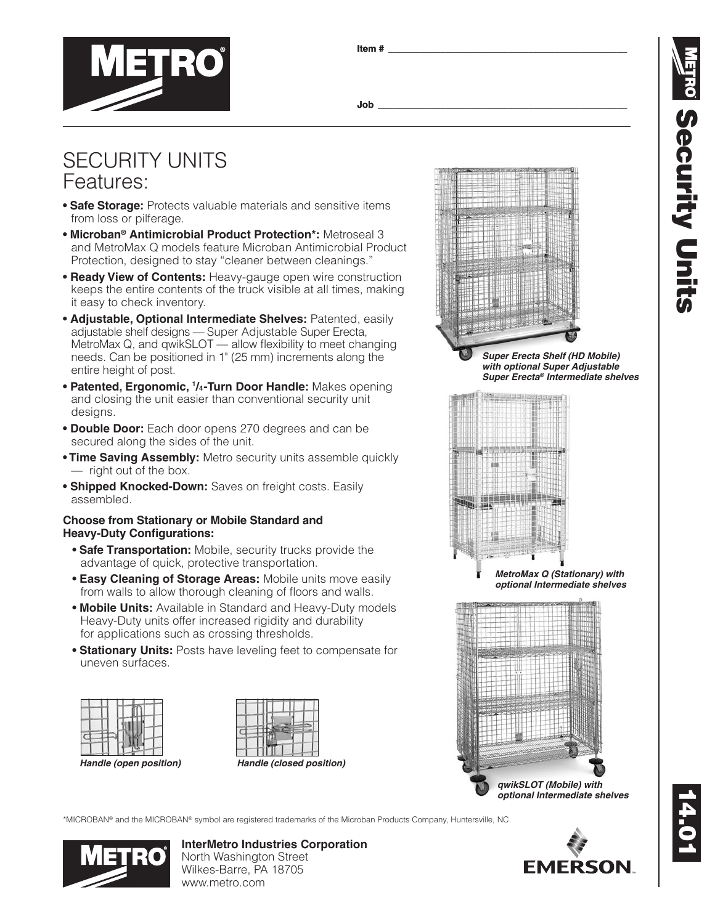**Item # \_\_\_\_\_\_\_\_\_\_\_\_\_\_\_\_\_\_\_\_\_\_\_\_\_\_\_\_\_\_\_\_\_\_\_\_\_\_\_\_\_\_\_\_\_\_**



**Job \_\_\_\_\_\_\_\_\_\_\_\_\_\_\_\_\_\_\_\_\_\_\_\_\_\_\_\_\_\_\_\_\_\_\_\_\_\_\_\_\_\_\_\_\_\_\_\_**

# SECURITY UNITS Features:

- **Safe Storage:** Protects valuable materials and sensitive items from loss or pilferage.
- **Microban® Antimicrobial Product Protection\*:** Metroseal 3 and MetroMax Q models feature Microban Antimicrobial Product Protection, designed to stay "cleaner between cleanings."
- **Ready View of Contents:** Heavy-gauge open wire construction keeps the entire contents of the truck visible at all times, making it easy to check inventory.
- **Adjustable, Optional Intermediate Shelves:** Patented, easily adjustable shelf designs — Super Adjustable Super Erecta, MetroMax Q, and qwikSLOT — allow flexibility to meet changing needs. Can be positioned in 1" (25 mm) increments along the entire height of post.
- **Patented, Ergonomic, 1 /4-Turn Door Handle:** Makes opening and closing the unit easier than conventional security unit designs.
- **Double Door:** Each door opens 270 degrees and can be secured along the sides of the unit.
- **Time Saving Assembly:** Metro security units assemble quickly — right out of the box.
- **Shipped Knocked-Down:** Saves on freight costs. Easily assembled.

### **Choose from Stationary or Mobile Standard and Heavy-Duty Configurations:**

- **Safe Transportation:** Mobile, security trucks provide the advantage of quick, protective transportation.
- **Easy Cleaning of Storage Areas:** Mobile units move easily from walls to allow thorough cleaning of floors and walls.
- **Mobile Units:** Available in Standard and Heavy-Duty models Heavy-Duty units offer increased rigidity and durability for applications such as crossing thresholds.
- **Stationary Units:** Posts have leveling feet to compensate for uneven surfaces.





*Super Erecta Shelf (HD Mobile) with optional Super Adjustable Super Erecta® Intermediate shelves*



*MetroMax Q (Stationary) with optional Intermediate shelves*



\*MICROBAN® and the MICROBAN® symbol are registered trademarks of the Microban Products Company, Huntersville, NC.



**InterMetro Industries Corporation** North Washington Street Wilkes-Barre, PA 18705 www.metro.com



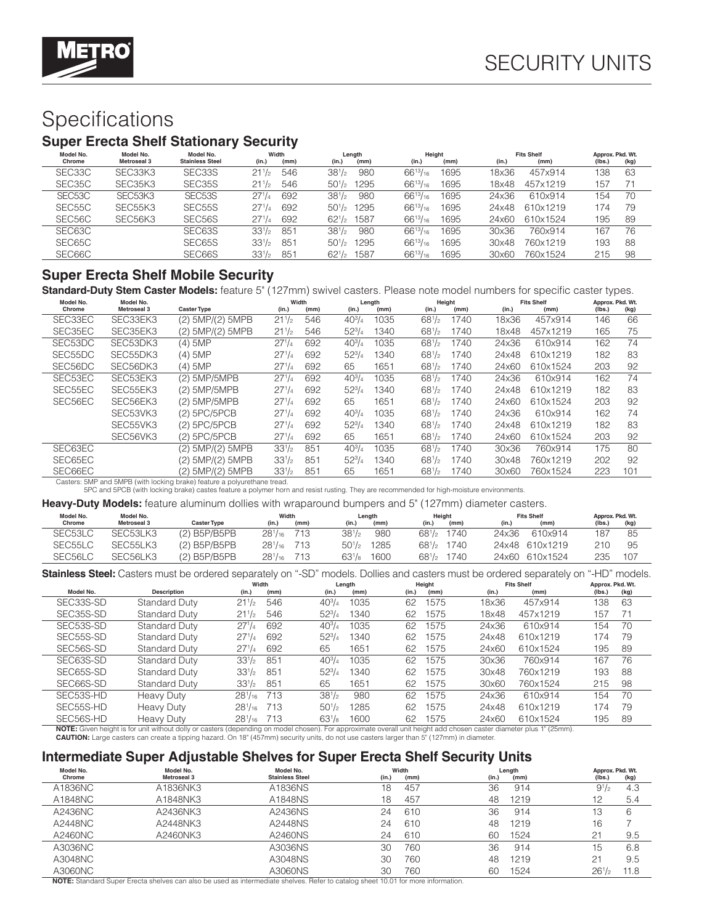

# Specifications

## **Super Erecta Shelf Stationary Security**

| Model No.<br>Chrome | Model No.<br>Metroseal 3         | Model No.<br><b>Stainless Steel</b> | Width<br>(in.)<br>(mm) | Length<br>(in.)<br>(mm)    | Height<br>(in.)<br>(mm) | <b>Fits Shelf</b><br>(in.)<br>(mm) | Approx. Pkd. Wt.<br>(kg)<br>(lbs. |
|---------------------|----------------------------------|-------------------------------------|------------------------|----------------------------|-------------------------|------------------------------------|-----------------------------------|
| SEC33C              | SEC33K3                          | SEC33S                              | 546<br>211/2           | $38^{1}/2$<br>980          | $66^{13}/_{16}$<br>1695 | 457x914<br>18x36                   | 63<br>138                         |
| SEC <sub>35</sub> C | SEC35K3                          | SEC <sub>35</sub> S                 | 546<br>211/2           | $50^{1/2}$<br>1295         | $66^{13}/_{16}$<br>1695 | 457x1219<br>18x48                  | 157<br>71                         |
| SEC <sub>53</sub> C | SEC <sub>53</sub> K <sub>3</sub> | SEC <sub>53</sub> S                 | 692<br>$27^{1/4}$      | 980<br>$38^{1}/2$          | $66^{13}/_{16}$<br>1695 | 610x914<br>24x36                   | 70<br>154                         |
| SEC <sub>55</sub> C | SEC <sub>55</sub> K <sub>3</sub> | SEC <sub>55</sub> S                 | 692<br>$27^{11}$       | $50^{1/2}$<br>1295         | $66^{13}/_{16}$<br>1695 | 610x1219<br>24x48                  | 174<br>79                         |
| SEC56C              | SEC56K3                          | SEC56S                              | $27^{1/4}$<br>692      | $62^{1/2}$<br>1587         | $66^{13}/_{16}$<br>1695 | 24x60<br>610x1524                  | 195<br>89                         |
| SEC63C              |                                  | SEC63S                              | $33\frac{1}{2}$<br>851 | $38^{1}/2$<br>980          | $66^{13}/_{16}$<br>1695 | 760x914<br>30x36                   | 76<br>167                         |
| SEC65C              |                                  | SEC65S                              | $33\frac{1}{2}$<br>851 | 50 <sup>1</sup> /2<br>1295 | $66^{13}/_{16}$<br>1695 | 30x48<br>760x1219                  | 193<br>88                         |
| SEC66C              |                                  | SEC66S                              | $33^{1/2}$<br>$85 -$   | $62^{1/2}$<br>1587         | $66^{13}/_{16}$<br>1695 | 30x60<br>760x1524                  | 98<br>215                         |

### **Super Erecta Shelf Mobile Security**

**Standard-Duty Stem Caster Models:** feature 5" (127mm) swivel casters. Please note model numbers for specific caster types.

| Model No.<br>Chrome | Model No.<br><b>Metroseal 3</b> | <b>Caster Type</b>    | (in.)      | Width<br>(mm) | (in.)         | Length<br>(mm) | (in.)      | Height<br>(mm) | (in.) | <b>Fits Shelf</b><br>(mm) | Approx. Pkd. Wt.<br>(Ibs.) | (kg) |
|---------------------|---------------------------------|-----------------------|------------|---------------|---------------|----------------|------------|----------------|-------|---------------------------|----------------------------|------|
| SEC33EC             | SEC33EK3                        | (2) 5MP/(2) 5MPB      | $21^{1/2}$ | 546           | $40^{3}/_{4}$ | 1035           | $68^{1/2}$ | 1740           | 18x36 | 457x914                   | 146                        | 66   |
|                     |                                 |                       |            |               |               |                |            |                |       |                           |                            |      |
| SEC35EC             | SEC35EK3                        | $(2)$ 5MP/ $(2)$ 5MPB | $21^{1/2}$ | 546           | $52^{3}/4$    | 1340           | $68^{1/2}$ | 1740           | 18x48 | 457x1219                  | 165                        | 75   |
| SEC53DC             | SEC53DK3                        | $(4)$ 5MP             | $27^{1/4}$ | 692           | $40^{3}/_{4}$ | 1035           | $68^{1/2}$ | 1740           | 24x36 | 610x914                   | 162                        | 74   |
| SEC55DC             | SEC55DK3                        | $(4)$ 5MP             | $27^{1/4}$ | 692           | $52^{3}/4$    | 1340           | $68^{1/2}$ | 1740           | 24x48 | 610x1219                  | 182                        | 83   |
| SEC56DC             | SEC56DK3                        | $(4)$ 5MP             | $27^{1/4}$ | 692           | 65            | 1651           | $68^{1/2}$ | 1740           | 24x60 | 610x1524                  | 203                        | 92   |
| SEC53EC             | SEC53EK3                        | (2) 5MP/5MPB          | $27^{1/4}$ | 692           | $40^{3}/_{4}$ | 1035           | $68^{1/2}$ | 1740           | 24x36 | 610x914                   | 162                        | 74   |
| SEC55EC             | SEC55EK3                        | (2) 5MP/5MPB          | $27^{1/4}$ | 692           | $52^{3}/4$    | 1340           | $68^{1/2}$ | 1740           | 24x48 | 610x1219                  | 182                        | 83   |
| SEC56EC             | SEC56EK3                        | (2) 5MP/5MPB          | $27^{1/4}$ | 692           | 65            | 1651           | $68^{1/2}$ | 1740           | 24x60 | 610x1524                  | 203                        | 92   |
|                     | SEC53VK3                        | $(2)$ 5PC/5PCB        | $27^{1/4}$ | 692           | $40^{3}/_{4}$ | 1035           | $68^{1/2}$ | 1740           | 24x36 | 610x914                   | 162                        | 74   |
|                     | SEC55VK3                        | $(2)$ 5PC/5PCB        | $27^{1/4}$ | 692           | $52^{3}/4$    | 1340           | $68^{1/2}$ | 1740           | 24x48 | 610x1219                  | 182                        | 83   |
|                     | SEC56VK3                        | $(2)$ 5PC/5PCB        | $27^{1/4}$ | 692           | 65            | 1651           | $68^{1/2}$ | 1740           | 24x60 | 610x1524                  | 203                        | 92   |
| SEC63EC             |                                 | (2) 5MP/(2) 5MPB      | $33^{1/2}$ | 851           | $40^{3}/_{4}$ | 1035           | $68^{1/2}$ | 1740           | 30x36 | 760x914                   | 175                        | 80   |
| SEC65EC             |                                 | (2) 5MP/(2) 5MPB      | $33^{1/2}$ | 851           | $52^{3}/4$    | 1340           | $68^{1/2}$ | 1740           | 30x48 | 760x1219                  | 202                        | 92   |
| SEC66EC             |                                 | (2) 5MP/(2) 5MPB      | $33^{1/2}$ | 851           | 65            | 1651           | $68^{1/2}$ | 1740           | 30x60 | 760x1524                  | 223                        | 101  |
|                     |                                 |                       |            |               |               |                |            |                |       |                           |                            |      |

Casters: 5MP and 5MPB (with locking brake) feature a polyurethane tread. 5PC and 5PCB (with locking brake) castes feature a polymer horn and resist rusting. They are recommended for high-moisture environments.

**Heavy-Duty Models:** feature aluminum dollies with wraparound bumpers and 5" (127mm) diameter casters.

|           | <b>Then I Exit invested</b> fould by digitm and domou matrimagements beling of and $\sigma$ (i.e. initi) digitible. Capterbi |                    |                                     |      |            |        |            |                                     |       |                   |                  |      |  |
|-----------|------------------------------------------------------------------------------------------------------------------------------|--------------------|-------------------------------------|------|------------|--------|------------|-------------------------------------|-------|-------------------|------------------|------|--|
| Model No. | Model No.                                                                                                                    |                    | Width                               |      |            | Lenath |            | Height                              |       | <b>Fits Shelf</b> | Approx. Pkd. Wt. |      |  |
| Chrome    | <b>Metroseal 3</b>                                                                                                           | <b>Caster Type</b> | (in.)                               | (mm) | (in.)      | (mm)   | (in.)      | (mm)                                | (in.) | (mm)              | (Ibs.)           | (kg) |  |
| SEC53LC   | SEC53LK3                                                                                                                     | $(2)$ B5P/B5PB     | 28 <sup>1</sup> / <sub>16</sub> 713 |      | $38^{1}/2$ | 980    |            | 68 <sup>1</sup> / <sub>2</sub> 1740 | 24x36 | 610x914           | 187              | 85   |  |
| SEC55LC   | SEC <sub>55</sub> LK3                                                                                                        | (2) B5P/B5PB       | $28^{1}/_{16}$ 713                  |      | $50^{1/2}$ | 1285   |            | 68 <sup>1</sup> / <sub>2</sub> 1740 |       | 24x48 610x1219    | 210              | 95   |  |
| SEC56LC   | SEC56LK3                                                                                                                     | $(2)$ B5P/B5PB     | 28 <sup>1</sup> / <sub>16</sub> 713 |      | $63^{1}/8$ | 1600   | $68^{1/2}$ | 1740                                |       | 24x60 610x1524    | 235              | 107  |  |

**Stainless Steel:** Casters must be ordered separately on "-SD" models. Dollies and casters must be ordered separately on "-HD" models.

|                                                                                                                                                                                                                                                                                                                                |                      | Width          |      |               | Length |       | Height |       | <b>Fits Shelf</b> | Approx. Pkd. Wt. |      |
|--------------------------------------------------------------------------------------------------------------------------------------------------------------------------------------------------------------------------------------------------------------------------------------------------------------------------------|----------------------|----------------|------|---------------|--------|-------|--------|-------|-------------------|------------------|------|
| Model No.                                                                                                                                                                                                                                                                                                                      | <b>Description</b>   | (in.)          | (mm) | (in.)         | (mm)   | (in.) | (mm)   | (in.) | (mm)              | (lbs.)           | (kg) |
| SEC33S-SD                                                                                                                                                                                                                                                                                                                      | <b>Standard Duty</b> | $21^{1/2}$     | 546  | $40^{3}/_{4}$ | 1035   | 62    | 1575   | 18x36 | 457x914           | 138              | 63   |
| SEC35S-SD                                                                                                                                                                                                                                                                                                                      | <b>Standard Duty</b> | $21^{1/2}$     | 546  | $52^{3}/_{4}$ | 1340   | 62    | 1575   | 18x48 | 457x1219          | 157              | 71   |
| SEC <sub>53</sub> S-SD                                                                                                                                                                                                                                                                                                         | Standard Duty        | $27^{1}/4$     | 692  | $40^{3}/_{4}$ | 1035   | 62    | 1575   | 24x36 | 610x914           | 154              | 70   |
| SEC55S-SD                                                                                                                                                                                                                                                                                                                      | <b>Standard Duty</b> | $27^{1/4}$     | 692  | $52^{3}/4$    | 1340   | 62    | 1575   | 24x48 | 610x1219          | 174              | 79   |
| SEC56S-SD                                                                                                                                                                                                                                                                                                                      | <b>Standard Duty</b> | $27^{1/4}$     | 692  | 65            | 1651   | 62    | 1575   | 24x60 | 610x1524          | 195              | 89   |
| SEC63S-SD                                                                                                                                                                                                                                                                                                                      | Standard Duty        | $33^{1/2}$     | 851  | $40^{3}/_{4}$ | 1035   | 62    | 1575   | 30x36 | 760x914           | 167              | 76   |
| SEC65S-SD                                                                                                                                                                                                                                                                                                                      | <b>Standard Duty</b> | $33^{1/2}$     | 851  | $52^{3}/_{4}$ | 1340   | 62    | 1575   | 30x48 | 760x1219          | 193              | 88   |
| SEC66S-SD                                                                                                                                                                                                                                                                                                                      | <b>Standard Duty</b> | $33^{1/2}$     | 851  | 65            | 1651   | 62    | 1575   | 30x60 | 760x1524          | 215              | 98   |
| SEC <sub>53</sub> S-HD                                                                                                                                                                                                                                                                                                         | <b>Heavy Duty</b>    | $28^{1}/_{16}$ | 713  | $38^{1/2}$    | 980    | 62    | 1575   | 24x36 | 610x914           | 154              | 70   |
| SEC55S-HD                                                                                                                                                                                                                                                                                                                      | <b>Heavy Duty</b>    | $28^{1}/_{16}$ | 713  | $50^{1/2}$    | 1285   | 62    | 1575   | 24x48 | 610x1219          | 174              | 79   |
| SEC56S-HD                                                                                                                                                                                                                                                                                                                      | <b>Heavy Duty</b>    | $28^{1}/_{16}$ | 713  | $63^{1}/8$    | 1600   | 62    | 1575   | 24x60 | 610x1524          | 195              | 89   |
| <b>NOTE:</b> Given height is for unit without dolly or casters (depending on model chosen). For approximate overall unit height add chosen caster diameter plus 1" (25mm).<br><b>CAUTION:</b> Large casters can create a tipping hazard. On 18" (457mm) security units, do not use casters larger than 5" (127mm) in diameter. |                      |                |      |               |        |       |        |       |                   |                  |      |

# **Intermediate Super Adjustable Shelves for Super Erecta Shelf Security Units**

| Model No. | Model No.          | Model No.              |       | Width |       | Length | Approx. Pkd. Wt. |      |
|-----------|--------------------|------------------------|-------|-------|-------|--------|------------------|------|
| Chrome    | <b>Metroseal 3</b> | <b>Stainless Steel</b> | (in.) | (mm)  | (in.) | (mm)   | (lbs.)           | (kg) |
| A1836NC   | A1836NK3           | A1836NS                | 18    | 457   | 36    | 914    | $9^{1/2}$        | 4.3  |
| A1848NC   | A1848NK3           | A1848NS                | 18    | 457   | 48    | 1219   | 12               | 5.4  |
| A2436NC   | A2436NK3           | A2436NS                | 24    | 610   | 36    | 914    | 13               | 6    |
| A2448NC   | A2448NK3           | A2448NS                | 24    | 610   | 48    | 1219   | 16               |      |
| A2460NC   | A2460NK3           | A2460NS                | 24    | 610   | 60    | 1524   | 21               | 9.5  |
| A3036NC   |                    | A3036NS                | 30    | 760   | 36    | 914    | 15               | 6.8  |
| A3048NC   |                    | A3048NS                | 30    | 760   | 48    | 1219   | 21               | 9.5  |
| A3060NC   |                    | A3060NS                | 30    | 760   | 60    | 1524   | $26^{1/2}$       | 11.8 |

**NOTE:** Standard Super Erecta shelves can also be used as intermediate shelves. Refer to catalog sheet 10.01 for more information.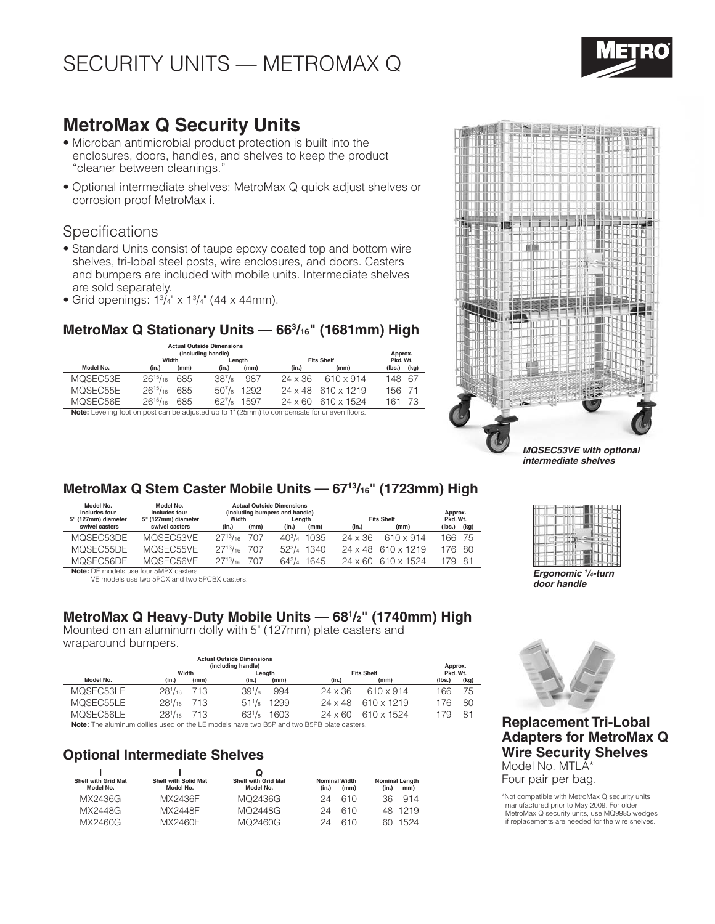# **MetroMax Q Security Units**

- Microban antimicrobial product protection is built into the enclosures, doors, handles, and shelves to keep the product "cleaner between cleanings."
- Optional intermediate shelves: MetroMax Q quick adjust shelves or corrosion proof MetroMax i.

### **Specifications**

- Standard Units consist of taupe epoxy coated top and bottom wire shelves, tri-lobal steel posts, wire enclosures, and doors. Casters and bumpers are included with mobile units. Intermediate shelves are sold separately.
- Grid openings:  $1\frac{3}{4}$ " x  $1\frac{3}{4}$ " (44 x 44mm).

# **MetroMax Q Stationary Units — 663 /16" (1681mm) High**

|                                                                                             | <b>Actual Outside Dimensions</b><br>(including handle) |      |                     |        |                   |                                  |        |      |  |  |
|---------------------------------------------------------------------------------------------|--------------------------------------------------------|------|---------------------|--------|-------------------|----------------------------------|--------|------|--|--|
|                                                                                             | Width                                                  |      |                     | Lenath | <b>Fits Shelf</b> | Pkd. Wt.                         |        |      |  |  |
| Model No.                                                                                   | (in.)                                                  | (mm) | (in.)               | (mm)   | (in.)             | (mm)                             | (lbs.) | (kg) |  |  |
| MOSEC53E                                                                                    | $26^{15}/_{16}$                                        | 685  | $38^{7}/\mathrm{s}$ | 987    | $24 \times 36$    | 610 x 914                        | 148 67 |      |  |  |
| MOSEC55E                                                                                    | $26^{15}/_{16}$                                        | 685  | $50^{7}/\mathrm{s}$ | 1292   |                   | $24 \times 48$ 610 $\times$ 1219 | 156 71 |      |  |  |
| MOSEC56E                                                                                    | $26^{15}/_{16}$                                        | 685  | $62^{7}/8$          | 1597   | 24 x 60           | 610 x 1524                       | 161    | -73  |  |  |
| Note: Leveling foot on post can be adjusted up to 1" (25mm) to compensate for uneven floors |                                                        |      |                     |        |                   |                                  |        |      |  |  |

**Note:** Leveling foot on post can be adjusted up to 1" (25mm) to compensate for uneven floors.



*intermediate shelves*

# **MetroMax Q Stem Caster Mobile Units — 6713/16" (1723mm) High**

| Model No.<br>Includes four<br>5" (127mm) diameter | Model No.<br>Includes four<br>5" (127mm) diameter | Width               |      | <b>Actual Outside Dimensions</b><br>(including bumpers and handle)<br>Lenath |                      |                | <b>Fits Shelf</b>                | Approx.<br>Pkd. Wt. |      |
|---------------------------------------------------|---------------------------------------------------|---------------------|------|------------------------------------------------------------------------------|----------------------|----------------|----------------------------------|---------------------|------|
| swivel casters                                    | swivel casters                                    | (in.)               | (mm) | (in.)                                                                        | (mm)                 | (in.)          | (mm)                             | (lbs.)              | (kg) |
| MOSEC53DE                                         | MOSEC53VE                                         | $27^{13}/_{16}$ 707 |      |                                                                              | $40\frac{3}{4}$ 1035 | $24 \times 36$ | 610 x 914                        | 166 75              |      |
| MOSEC55DE                                         | MOSEC55VE                                         | $27^{13}/_{16}$ 707 |      |                                                                              | $52\frac{3}{4}$ 1340 |                | $24 \times 48$ 610 x 1219        | 176 80              |      |
| MOSEC56DE                                         | MOSEC56VE                                         | $27^{13}/_{16}$ 707 |      |                                                                              | $64\frac{3}{4}$ 1645 |                | $24 \times 60$ 610 $\times$ 1524 | 179 81              |      |
| Note: DE models use four 5MPX casters             |                                                   |                     |      |                                                                              |                      |                |                                  |                     |      |

**Note:** DE models use four 5MPX casters. VE models use two 5PCX and two 5PCBX casters.

## **MetroMax Q Heavy-Duty Mobile Units — 681 /2" (1740mm) High**

Mounted on an aluminum dolly with 5" (127mm) plate casters and wraparound bumpers.

|                                                                                          |                |      | <b>Actual Outside Dimensions</b><br>(including handle) |        |                |                   | Approx.  |                |  |
|------------------------------------------------------------------------------------------|----------------|------|--------------------------------------------------------|--------|----------------|-------------------|----------|----------------|--|
|                                                                                          | Width          |      |                                                        | Lenath |                | <b>Fits Shelf</b> | Pkd. Wt. |                |  |
| Model No.                                                                                | (in.)          | (mm) | (in.)                                                  | (mm)   | (in.)          | (mm)              | (Ibs.)   | (kg)           |  |
| MOSEC53LE                                                                                | $28^{1}/_{16}$ | 713  | $39\frac{1}{8}$                                        | 994    | $24 \times 36$ | 610 x 914         | 66       | 75             |  |
| MOSEC55LE                                                                                | $28^{1}/_{16}$ | 713  | $51\frac{1}{8}$                                        | 1299   | $24 \times 48$ | 610 x 1219        | 176      | 80             |  |
| MOSEC56LE                                                                                | $28^{1}/_{16}$ | 713  | $63^{1}/s$                                             | 1603   | $24 \times 60$ | 610 x 1524        | 179      | 8 <sup>1</sup> |  |
| Note: The aluminum dellies used on the LE models have two RED and two REDR plate costors |                |      |                                                        |        |                |                   |          |                |  |

**Note:** The aluminum dollies used on the LE models have two B5P and two B5PB plate casters.

# **Optional Intermediate Shelves**

|                                         |                                          | u                                       |                               |      |       |                              |
|-----------------------------------------|------------------------------------------|-----------------------------------------|-------------------------------|------|-------|------------------------------|
| <b>Shelf with Grid Mat</b><br>Model No. | <b>Shelf with Solid Mat</b><br>Model No. | <b>Shelf with Grid Mat</b><br>Model No. | <b>Nominal Width</b><br>(in.) | (mm) | (in.) | <b>Nominal Length</b><br>mm) |
| MX2436G                                 | MX2436F                                  | MQ2436G                                 | 24                            | 610  | 36    | 914                          |
| MX2448G                                 | MX2448F                                  | MQ2448G                                 | 24                            | 610  | 48.   | 1219                         |
| MX2460G                                 | MX2460F                                  | MQ2460G                                 | 24                            | 610  | 60    | 1524                         |



*Ergonomic 1 /4-turn door handle*



### **Replacement Tri-Lobal Adapters for MetroMax Q Wire Security Shelves**  Model No. MTLA\* Four pair per bag.

\*Not compatible with MetroMax Q security units manufactured prior to May 2009. For older MetroMax Q security units, use MQ9985 wedges if replacements are needed for the wire shelves.

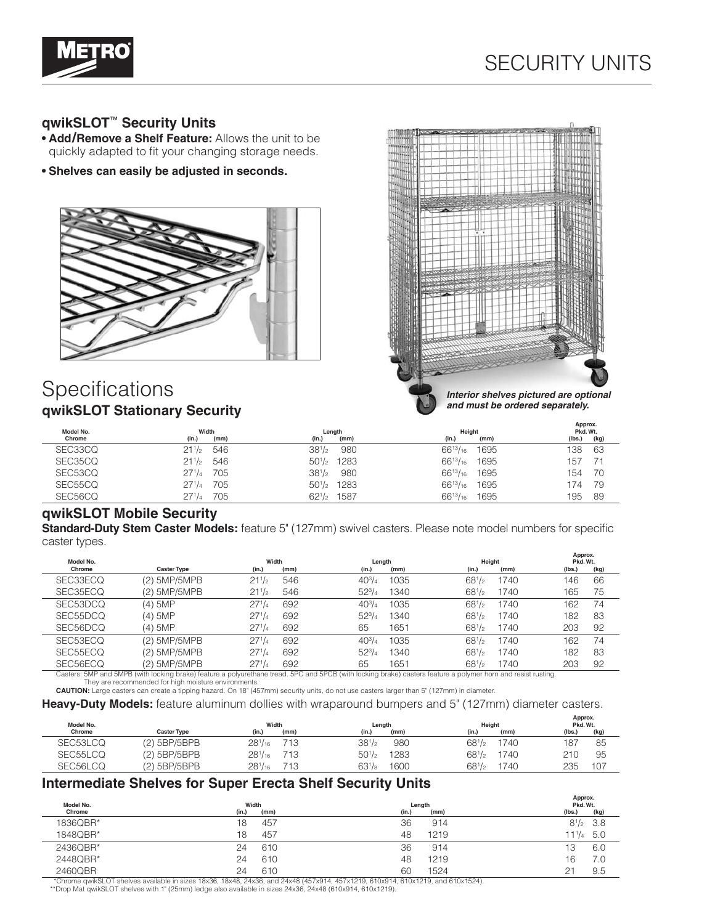

# **qwikSLOT**™ **Security Units**

- **• Add/Remove a Shelf Feature:** Allows the unit to be quickly adapted to fit your changing storage needs.
- **• Shelves can easily be adjusted in seconds.**



# **Specifications qwikSLOT Stationary Security**



*and must be ordered separately.*

|           |                   |                                     |                         | Approx.   |
|-----------|-------------------|-------------------------------------|-------------------------|-----------|
| Model No. | Width             | Length                              | Height                  | Pkd. Wt.  |
| Chrome    | (mm)              | (in.)                               | (in.)                   | (lbs.)    |
|           | (in.)             | (mm)                                | (mm)                    | (kg)      |
| SEC33CQ   | 546               | $38^{1}/2$                          | $66^{13}/_{16}$         | 63        |
|           | $21^{1/2}$        | 980                                 | 1695                    | 138       |
| SEC35CQ   | $21^{1/2}$<br>546 | $50^{1/2}$ 1283                     | $66^{13}/_{16}$<br>1695 | 157<br>71 |
| SEC53CQ   | 271/4             | $38^{1}/2$                          | $66^{13}/_{16}$         | -70       |
|           | 705               | 980                                 | 1695                    | 154       |
| SEC55CQ   | 271/4<br>705      | 50 <sup>1</sup> / <sub>2</sub> 1283 | $66^{13}/_{16}$<br>1695 | 79<br>74  |
| SEC56CQ   | 705               | $62^{1/2}$                          | $66^{13}/_{16}$         | -89       |
|           | 271/4             | 1587                                | 1695                    | '95       |

### **qwikSLOT Mobile Security**

**Standard-Duty Stem Caster Models:** feature 5" (127mm) swivel casters. Please note model numbers for specific caster types.

| Model No. |                    | Width      |      | Length        |                    | Height | Approx.<br>Pkd. Wt. |      |
|-----------|--------------------|------------|------|---------------|--------------------|--------|---------------------|------|
| Chrome    | <b>Caster Type</b> | (in.)      | (mm) | (in.)         | (in.)<br>(mm)      | (mm)   | (lbs.)              | (kg) |
| SEC33ECQ  | (2) 5MP/5MPB       | $21^{1/2}$ | 546  | $40^{3}/_{4}$ | $68^{1/2}$<br>1035 | 1740   | 146                 | 66   |
| SEC35ECQ  | (2) 5MP/5MPB       | $21^{1/2}$ | 546  | $52^{3}/4$    | $68^{1/2}$<br>1340 | 1740   | 165                 | 75   |
| SEC53DCQ  | (4) 5MP            | $27^{1/4}$ | 692  | $40^{3}/_{4}$ | $68^{1/2}$<br>1035 | 1740   | 162                 | 74   |
| SEC55DCQ  | (4) 5MP            | $27^{1/4}$ | 692  | $52^{3}/4$    | $68^{1/2}$<br>1340 | 1740   | 182                 | 83   |
| SEC56DCQ  | (4) 5MP            | $27^{1/4}$ | 692  | 65            | $68^{1/2}$<br>1651 | 1740   | 203                 | 92   |
| SEC53ECQ  | (2) 5MP/5MPB       | $27^{1/4}$ | 692  | $40^{3}/_{4}$ | 1035<br>$68^{1/2}$ | 1740   | 162                 | 74   |
| SEC55ECQ  | (2) 5MP/5MPB       | $27^{1/4}$ | 692  | $52^{3}/4$    | $68^{1/2}$<br>1340 | 1740   | 182                 | 83   |
| SEC56ECQ  | (2) 5MP/5MPB       | $27^{1/4}$ | 692  | 65            | $68^{1/2}$<br>1651 | 1740   | 203                 | 92   |

Casters: 5MP and 5MPB (with locking brake) feature a polyurethane tread. 5PC and 5PCB (with locking brake) casters feature a polymer horn and resist rusting. They are recommended for high moisture environments.<br>**CAUTION:** Large casters can create a tipping hazard. On 18" (457mm) security units, do not use casters larger than 5" (127mm) in diameter.

**Heavy-Duty Models:** feature aluminum dollies with wraparound bumpers and 5" (127mm) diameter casters.

| Model No. |                    | Width          |      | Length     |      | Height             | Approx.<br>Pkd. Wt. |      |  |
|-----------|--------------------|----------------|------|------------|------|--------------------|---------------------|------|--|
| Chrome    | <b>Caster Type</b> | (in.)          | (mm) | (in.)      | (mm) | (in.)<br>(mm)      | (lbs.)              | (kg) |  |
| SEC53LCQ  | $(2)$ 5BP/5BPB     | $28^{1}/_{16}$ | 713  | $38^{1}/2$ | 980  | $68^{1/2}$<br>1740 | $18^{-}$            | 85   |  |
| SEC55LCQ  | (2) 5BP/5BPB       | $28^{1}/_{16}$ | 713  | $50^{1/2}$ | 1283 | $68^{1/2}$<br>1740 | 21C                 | 95   |  |
| SEC56LCQ  | $(2)$ 5BP/5BPB     | $28^{1}/_{16}$ | 713  | $63^{1}/8$ | 1600 | $68^{1/2}$<br>740  | 235                 | 107  |  |

### **Intermediate Shelves for Super Erecta Shelf Security Units**

|           |           |            | Approx.           |  |  |
|-----------|-----------|------------|-------------------|--|--|
| Model No. | Width     | Length     | Pkd. Wt.          |  |  |
| Chrome    | (in.)     | (in.)      | (kg)              |  |  |
|           | (mm)      | (mm)       | (lbs.)            |  |  |
| 1836QBR*  | 457<br>18 | 36<br>914  | $8^{1}/2$ 3.8     |  |  |
| 1848QBR*  | 457<br>'8 | 1219<br>48 | $11^{1}/_{4}$ 5.0 |  |  |
| 2436QBR*  | 610       | 36         | 6.0               |  |  |
|           | 24        | 914        | 13                |  |  |
| 2448QBR*  | 610       | 1219       | 7.0               |  |  |
|           | 24        | 48         | 16                |  |  |
| 2460QBR   | 610       | 1524       | 21                |  |  |
|           | 24        | 60         | 9.5               |  |  |

\*Chrome qwikSLOT shelves available in sizes 18x36, 18x48, 24x36, and 24x48 (457x914, 457x1219, 610x914, 610x1219, and 610x1524).

\*\*Drop Mat qwikSLOT shelves with 1" (25mm) ledge also available in sizes 24x36, 24x48 (610x914, 610x1219).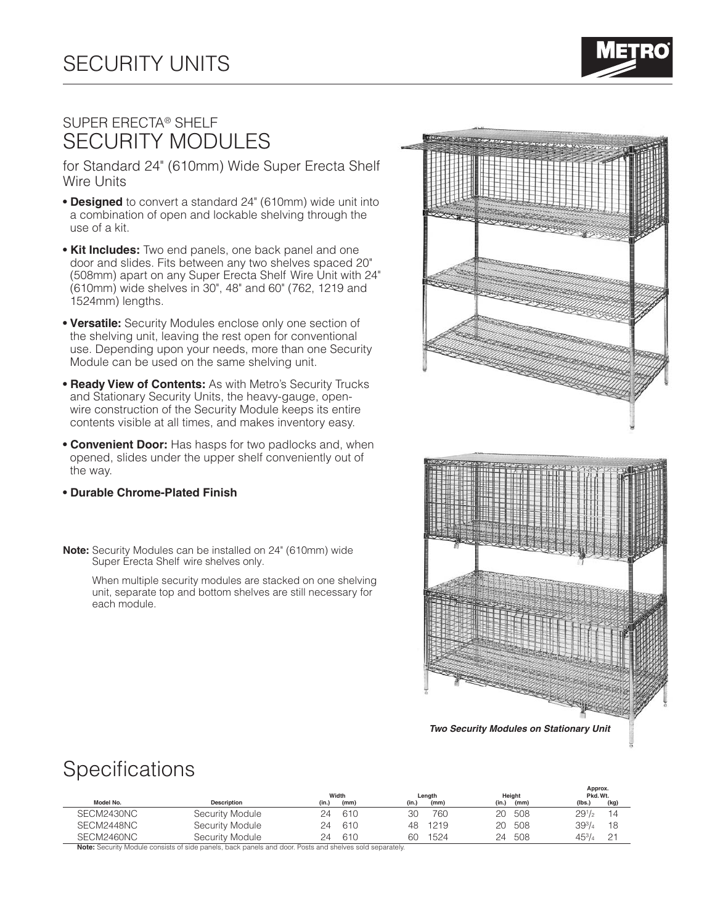

# Super Erecta® Shelf SECURITY MODULES

for Standard 24" (610mm) Wide Super Erecta Shelf Wire Units

- **Designed** to convert a standard 24" (610mm) wide unit into a combination of open and lockable shelving through the use of a kit.
- **Kit Includes:** Two end panels, one back panel and one door and slides. Fits between any two shelves spaced 20" (508mm) apart on any Super Erecta Shelf Wire Unit with 24" (610mm) wide shelves in 30", 48" and 60" (762, 1219 and 1524mm) lengths.
- **Versatile:** Security Modules enclose only one section of the shelving unit, leaving the rest open for conventional use. Depending upon your needs, more than one Security Module can be used on the same shelving unit.
- **Ready View of Contents:** As with Metro's Security Trucks and Stationary Security Units, the heavy-gauge, openwire construction of the Security Module keeps its entire contents visible at all times, and makes inventory easy.
- **Convenient Door:** Has hasps for two padlocks and, when opened, slides under the upper shelf conveniently out of the way.
- **Durable Chrome-Plated Finish**
- **Note:** Security Modules can be installed on 24" (610mm) wide Super Erecta Shelf wire shelves only.

When multiple security modules are stacked on one shelving unit, separate top and bottom shelves are still necessary for each module.



**Specifications** 

|                        |                    |                 | Width |       | Length | Height        | Approx.<br>Pkd. Wt. |      |  |
|------------------------|--------------------|-----------------|-------|-------|--------|---------------|---------------------|------|--|
| Model No.              | <b>Description</b> | (in.)           | (mm)  | (in.) | (mm)   | (in.)<br>(mm) | (lbs.)              | (kg) |  |
| SECM2430NC             | Security Module    | 24              | 610   | 30    | 760    | 508<br>20.    | 291/2               | 14   |  |
| SECM2448NC             | Security Module    | 24              | 610   | 48    | 1219   | 508<br>20     | $39^{3}/_{4}$       | 18   |  |
| SECM2460NC             | Security Module    | 24              | 610   | 60    | 1524   | 508<br>24     | $45^{3}/_{4}$       | 21   |  |
| $\cdots$ $\cdots$<br>. |                    | <b>COLUMN 2</b> |       |       |        |               |                     |      |  |

**Note:** Security Module consists of side panels, back panels and door. Posts and shelves sold separately.